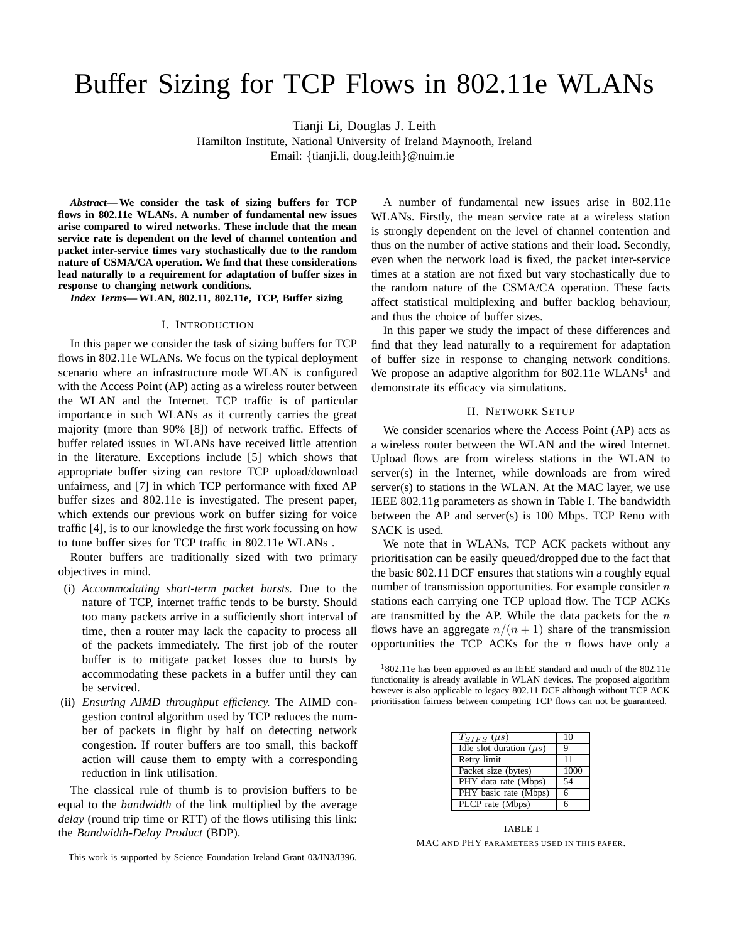# Buffer Sizing for TCP Flows in 802.11e WLANs

Tianji Li, Douglas J. Leith

Hamilton Institute, National University of Ireland Maynooth, Ireland Email: {tianji.li, doug.leith}@nuim.ie

*Abstract***— We consider the task of sizing buffers for TCP flows in 802.11e WLANs. A number of fundamental new issues arise compared to wired networks. These include that the mean service rate is dependent on the level of channel contention and packet inter-service times vary stochastically due to the random nature of CSMA/CA operation. We find that these considerations lead naturally to a requirement for adaptation of buffer sizes in response to changing network conditions.**

*Index Terms***— WLAN, 802.11, 802.11e, TCP, Buffer sizing**

#### I. INTRODUCTION

In this paper we consider the task of sizing buffers for TCP flows in 802.11e WLANs. We focus on the typical deployment scenario where an infrastructure mode WLAN is configured with the Access Point (AP) acting as a wireless router between the WLAN and the Internet. TCP traffic is of particular importance in such WLANs as it currently carries the great majority (more than 90% [8]) of network traffic. Effects of buffer related issues in WLANs have received little attention in the literature. Exceptions include [5] which shows that appropriate buffer sizing can restore TCP upload/download unfairness, and [7] in which TCP performance with fixed AP buffer sizes and 802.11e is investigated. The present paper, which extends our previous work on buffer sizing for voice traffic [4], is to our knowledge the first work focussing on how to tune buffer sizes for TCP traffic in 802.11e WLANs .

Router buffers are traditionally sized with two primary objectives in mind.

- (i) *Accommodating short-term packet bursts.* Due to the nature of TCP, internet traffic tends to be bursty. Should too many packets arrive in a sufficiently short interval of time, then a router may lack the capacity to process all of the packets immediately. The first job of the router buffer is to mitigate packet losses due to bursts by accommodating these packets in a buffer until they can be serviced.
- (ii) *Ensuring AIMD throughput efficiency.* The AIMD congestion control algorithm used by TCP reduces the number of packets in flight by half on detecting network congestion. If router buffers are too small, this backoff action will cause them to empty with a corresponding reduction in link utilisation.

The classical rule of thumb is to provision buffers to be equal to the *bandwidth* of the link multiplied by the average *delay* (round trip time or RTT) of the flows utilising this link: the *Bandwidth-Delay Product* (BDP).

This work is supported by Science Foundation Ireland Grant 03/IN3/I396.

A number of fundamental new issues arise in 802.11e WLANs. Firstly, the mean service rate at a wireless station is strongly dependent on the level of channel contention and thus on the number of active stations and their load. Secondly, even when the network load is fixed, the packet inter-service times at a station are not fixed but vary stochastically due to the random nature of the CSMA/CA operation. These facts affect statistical multiplexing and buffer backlog behaviour, and thus the choice of buffer sizes.

In this paper we study the impact of these differences and find that they lead naturally to a requirement for adaptation of buffer size in response to changing network conditions. We propose an adaptive algorithm for 802.11e  $WLANs<sup>1</sup>$  and demonstrate its efficacy via simulations.

# II. NETWORK SETUP

We consider scenarios where the Access Point (AP) acts as a wireless router between the WLAN and the wired Internet. Upload flows are from wireless stations in the WLAN to server(s) in the Internet, while downloads are from wired server(s) to stations in the WLAN. At the MAC layer, we use IEEE 802.11g parameters as shown in Table I. The bandwidth between the AP and server(s) is 100 Mbps. TCP Reno with SACK is used.

We note that in WLANs, TCP ACK packets without any prioritisation can be easily queued/dropped due to the fact that the basic 802.11 DCF ensures that stations win a roughly equal number of transmission opportunities. For example consider  $n$ stations each carrying one TCP upload flow. The TCP ACKs are transmitted by the AP. While the data packets for the  $n$ flows have an aggregate  $n/(n+1)$  share of the transmission opportunities the TCP ACKs for the  $n$  flows have only a

 $1802.11e$  has been approved as an IEEE standard and much of the 802.11e functionality is already available in WLAN devices. The proposed algorithm however is also applicable to legacy 802.11 DCF although without TCP ACK prioritisation fairness between competing TCP flows can not be guaranteed.

| $T_{SIFS}$ ( $\mu s$ )       | 10   |
|------------------------------|------|
| Idle slot duration $(\mu s)$ | Q    |
| Retry limit                  | 11   |
| Packet size (bytes)          | 1000 |
| PHY data rate (Mbps)         | 54   |
| PHY basic rate (Mbps)        | 6    |
| PLCP rate (Mbps)             | 6    |

TABLE I MAC AND PHY PARAMETERS USED IN THIS PAPER.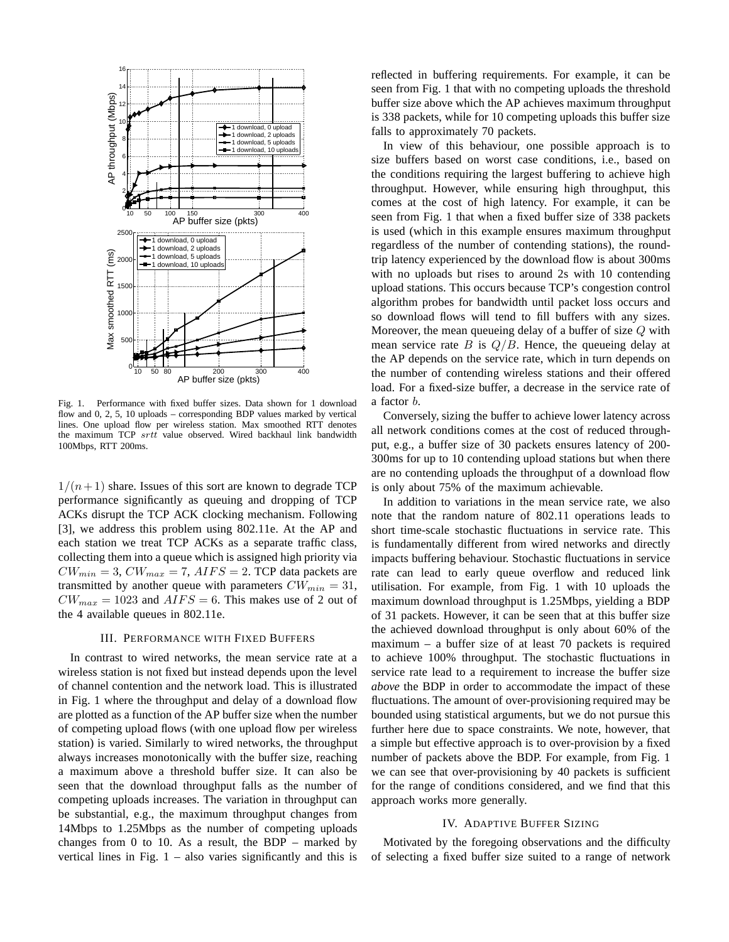

Fig. 1. Performance with fixed buffer sizes. Data shown for 1 download flow and 0, 2, 5, 10 uploads – corresponding BDP values marked by vertical lines. One upload flow per wireless station. Max smoothed RTT denotes the maximum TCP srtt value observed. Wired backhaul link bandwidth 100Mbps, RTT 200ms.

 $1/(n+1)$  share. Issues of this sort are known to degrade TCP performance significantly as queuing and dropping of TCP ACKs disrupt the TCP ACK clocking mechanism. Following [3], we address this problem using 802.11e. At the AP and each station we treat TCP ACKs as a separate traffic class, collecting them into a queue which is assigned high priority via  $CW_{min} = 3$ ,  $CW_{max} = 7$ ,  $AIFS = 2$ . TCP data packets are transmitted by another queue with parameters  $CW_{min} = 31$ ,  $CW_{max} = 1023$  and  $AIFS = 6$ . This makes use of 2 out of the 4 available queues in 802.11e.

# III. PERFORMANCE WITH FIXED BUFFERS

In contrast to wired networks, the mean service rate at a wireless station is not fixed but instead depends upon the level of channel contention and the network load. This is illustrated in Fig. 1 where the throughput and delay of a download flow are plotted as a function of the AP buffer size when the number of competing upload flows (with one upload flow per wireless station) is varied. Similarly to wired networks, the throughput always increases monotonically with the buffer size, reaching a maximum above a threshold buffer size. It can also be seen that the download throughput falls as the number of competing uploads increases. The variation in throughput can be substantial, e.g., the maximum throughput changes from 14Mbps to 1.25Mbps as the number of competing uploads changes from  $0$  to  $10$ . As a result, the BDP – marked by vertical lines in Fig.  $1 -$  also varies significantly and this is reflected in buffering requirements. For example, it can be seen from Fig. 1 that with no competing uploads the threshold buffer size above which the AP achieves maximum throughput is 338 packets, while for 10 competing uploads this buffer size falls to approximately 70 packets.

In view of this behaviour, one possible approach is to size buffers based on worst case conditions, i.e., based on the conditions requiring the largest buffering to achieve high throughput. However, while ensuring high throughput, this comes at the cost of high latency. For example, it can be seen from Fig. 1 that when a fixed buffer size of 338 packets is used (which in this example ensures maximum throughput regardless of the number of contending stations), the roundtrip latency experienced by the download flow is about 300ms with no uploads but rises to around 2s with 10 contending upload stations. This occurs because TCP's congestion control algorithm probes for bandwidth until packet loss occurs and so download flows will tend to fill buffers with any sizes. Moreover, the mean queueing delay of a buffer of size  $Q$  with mean service rate  $B$  is  $Q/B$ . Hence, the queueing delay at the AP depends on the service rate, which in turn depends on the number of contending wireless stations and their offered load. For a fixed-size buffer, a decrease in the service rate of a factor b.

Conversely, sizing the buffer to achieve lower latency across all network conditions comes at the cost of reduced throughput, e.g., a buffer size of 30 packets ensures latency of 200- 300ms for up to 10 contending upload stations but when there are no contending uploads the throughput of a download flow is only about 75% of the maximum achievable.

In addition to variations in the mean service rate, we also note that the random nature of 802.11 operations leads to short time-scale stochastic fluctuations in service rate. This is fundamentally different from wired networks and directly impacts buffering behaviour. Stochastic fluctuations in service rate can lead to early queue overflow and reduced link utilisation. For example, from Fig. 1 with 10 uploads the maximum download throughput is 1.25Mbps, yielding a BDP of 31 packets. However, it can be seen that at this buffer size the achieved download throughput is only about 60% of the maximum – a buffer size of at least 70 packets is required to achieve 100% throughput. The stochastic fluctuations in service rate lead to a requirement to increase the buffer size *above* the BDP in order to accommodate the impact of these fluctuations. The amount of over-provisioning required may be bounded using statistical arguments, but we do not pursue this further here due to space constraints. We note, however, that a simple but effective approach is to over-provision by a fixed number of packets above the BDP. For example, from Fig. 1 we can see that over-provisioning by 40 packets is sufficient for the range of conditions considered, and we find that this approach works more generally.

### IV. ADAPTIVE BUFFER SIZING

Motivated by the foregoing observations and the difficulty of selecting a fixed buffer size suited to a range of network